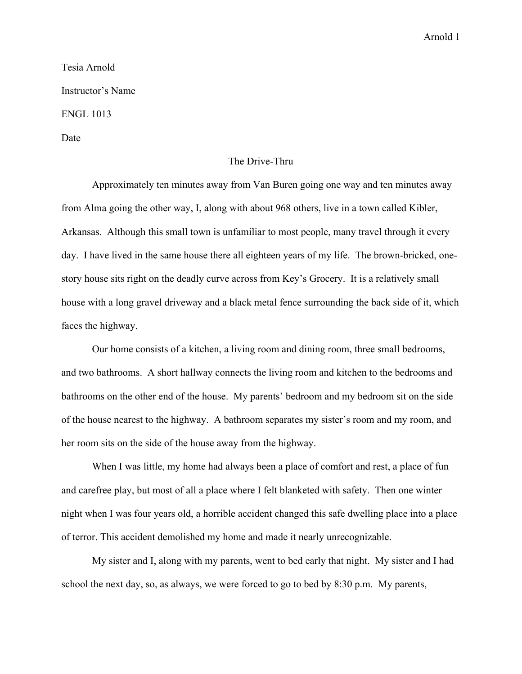## Arnold 1

Tesia Arnold Instructor's Name ENGL 1013 Date

## The Drive-Thru

Approximately ten minutes away from Van Buren going one way and ten minutes away from Alma going the other way, I, along with about 968 others, live in a town called Kibler, Arkansas. Although this small town is unfamiliar to most people, many travel through it every day. I have lived in the same house there all eighteen years of my life. The brown-bricked, onestory house sits right on the deadly curve across from Key's Grocery. It is a relatively small house with a long gravel driveway and a black metal fence surrounding the back side of it, which faces the highway.

Our home consists of a kitchen, a living room and dining room, three small bedrooms, and two bathrooms. A short hallway connects the living room and kitchen to the bedrooms and bathrooms on the other end of the house. My parents' bedroom and my bedroom sit on the side of the house nearest to the highway. A bathroom separates my sister's room and my room, and her room sits on the side of the house away from the highway.

When I was little, my home had always been a place of comfort and rest, a place of fun and carefree play, but most of all a place where I felt blanketed with safety. Then one winter night when I was four years old, a horrible accident changed this safe dwelling place into a place of terror. This accident demolished my home and made it nearly unrecognizable.

My sister and I, along with my parents, went to bed early that night. My sister and I had school the next day, so, as always, we were forced to go to bed by 8:30 p.m. My parents,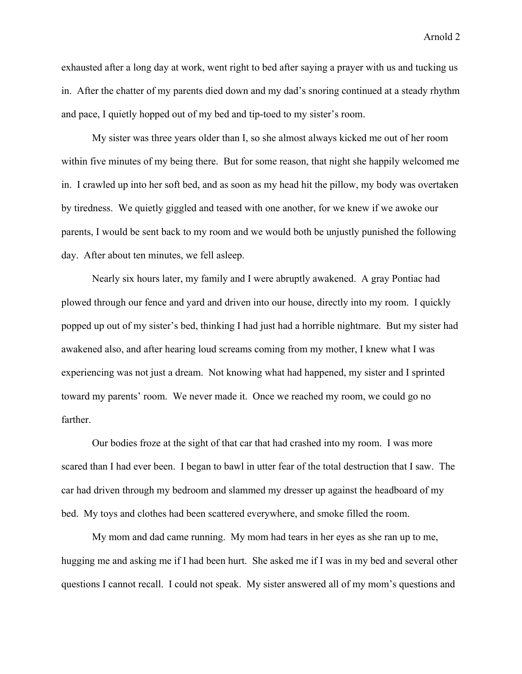Arnold 2

exhausted after a long day at work, went right to bed after saying a prayer with us and tucking us in. After the chatter of my parents died down and my dad's snoring continued at a steady rhythm and pace, I quietly hopped out of my bed and tip-toed to my sister's room.

My sister was three years older than I, so she almost always kicked me out of her room within five minutes of my being there. But for some reason, that night she happily welcomed me in. I crawled up into her soft bed, and as soon as my head hit the pillow, my body was overtaken by tiredness. We quietly giggled and teased with one another, for we knew if we awoke our parents, I would be sent back to my room and we would both be unjustly punished the following day. After about ten minutes, we fell asleep.

Nearly six hours later, my family and I were abruptly awakened. A gray Pontiac had plowed through our fence and yard and driven into our house, directly into my room. I quickly popped up out of my sister's bed, thinking I had just had a horrible nightmare. But my sister had awakened also, and after hearing loud screams coming from my mother, I knew what I was experiencing was not just a dream. Not knowing what had happened, my sister and I sprinted toward my parents' room. We never made it. Once we reached my room, we could go no farther.

Our bodies froze at the sight of that car that had crashed into my room. I was more scared than I had ever been. I began to bawl in utter fear of the total destruction that I saw. The car had driven through my bedroom and slammed my dresser up against the headboard of my bed. My toys and clothes had been scattered everywhere, and smoke filled the room.

My mom and dad came running. My mom had tears in her eyes as she ran up to me, hugging me and asking me if I had been hurt. She asked me if I was in my bed and several other questions I cannot recall. I could not speak. My sister answered all of my mom's questions and